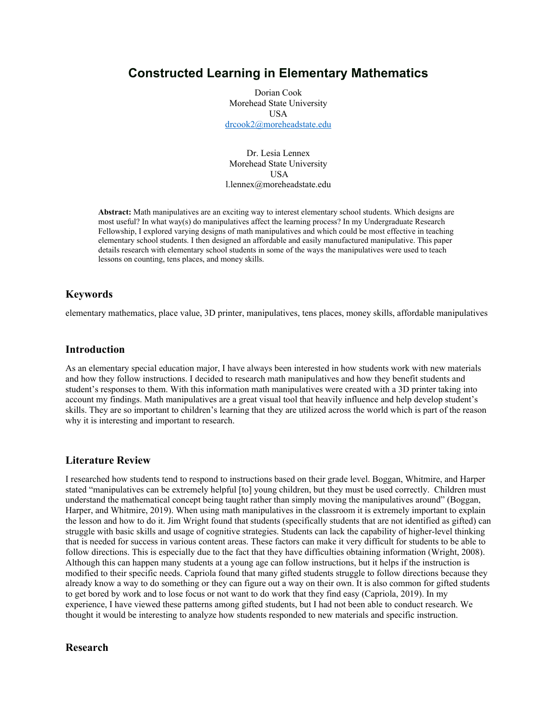# **Constructed Learning in Elementary Mathematics**

Dorian Cook Morehead State University USA [drcook2@moreheadstate.edu](mailto:drcook2@moreheadstate.edu)

Dr. Lesia Lennex Morehead State University USA l.lennex@moreheadstate.edu

**Abstract:** Math manipulatives are an exciting way to interest elementary school students. Which designs are most useful? In what way(s) do manipulatives affect the learning process? In my Undergraduate Research Fellowship, I explored varying designs of math manipulatives and which could be most effective in teaching elementary school students. I then designed an affordable and easily manufactured manipulative. This paper details research with elementary school students in some of the ways the manipulatives were used to teach lessons on counting, tens places, and money skills.

## **Keywords**

elementary mathematics, place value, 3D printer, manipulatives, tens places, money skills, affordable manipulatives

### **Introduction**

As an elementary special education major, I have always been interested in how students work with new materials and how they follow instructions. I decided to research math manipulatives and how they benefit students and student's responses to them. With this information math manipulatives were created with a 3D printer taking into account my findings. Math manipulatives are a great visual tool that heavily influence and help develop student's skills. They are so important to children's learning that they are utilized across the world which is part of the reason why it is interesting and important to research.

#### **Literature Review**

I researched how students tend to respond to instructions based on their grade level. Boggan, Whitmire, and Harper stated "manipulatives can be extremely helpful [to] young children, but they must be used correctly. Children must understand the mathematical concept being taught rather than simply moving the manipulatives around" (Boggan, Harper, and Whitmire, 2019). When using math manipulatives in the classroom it is extremely important to explain the lesson and how to do it. Jim Wright found that students (specifically students that are not identified as gifted) can struggle with basic skills and usage of cognitive strategies. Students can lack the capability of higher-level thinking that is needed for success in various content areas. These factors can make it very difficult for students to be able to follow directions. This is especially due to the fact that they have difficulties obtaining information (Wright, 2008). Although this can happen many students at a young age can follow instructions, but it helps if the instruction is modified to their specific needs. Capriola found that many gifted students struggle to follow directions because they already know a way to do something or they can figure out a way on their own. It is also common for gifted students to get bored by work and to lose focus or not want to do work that they find easy (Capriola, 2019). In my experience, I have viewed these patterns among gifted students, but I had not been able to conduct research. We thought it would be interesting to analyze how students responded to new materials and specific instruction.

#### **Research**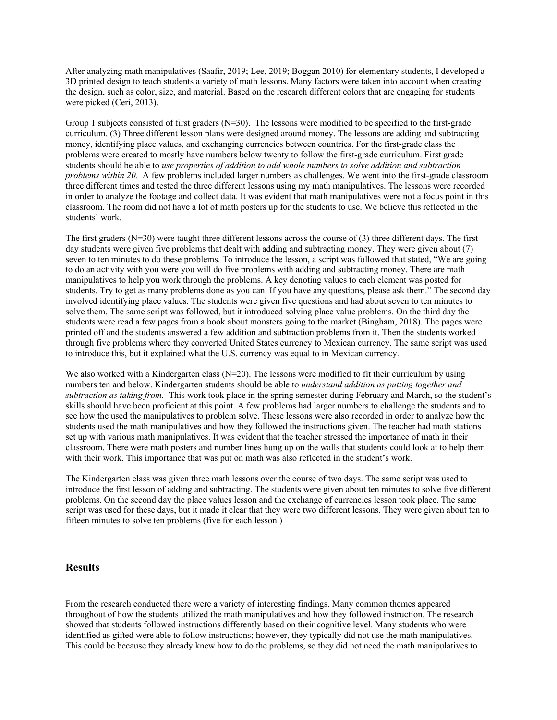After analyzing math manipulatives (Saafir, 2019; Lee, 2019; Boggan 2010) for elementary students, I developed a 3D printed design to teach students a variety of math lessons. Many factors were taken into account when creating the design, such as color, size, and material. Based on the research different colors that are engaging for students were picked (Ceri, 2013).

Group 1 subjects consisted of first graders  $(N=30)$ . The lessons were modified to be specified to the first-grade curriculum. (3) Three different lesson plans were designed around money. The lessons are adding and subtracting money, identifying place values, and exchanging currencies between countries. For the first-grade class the problems were created to mostly have numbers below twenty to follow the first-grade curriculum. First grade students should be able to *use properties of addition to add whole numbers to solve addition and subtraction problems within 20.* A few problems included larger numbers as challenges. We went into the first-grade classroom three different times and tested the three different lessons using my math manipulatives. The lessons were recorded in order to analyze the footage and collect data. It was evident that math manipulatives were not a focus point in this classroom. The room did not have a lot of math posters up for the students to use. We believe this reflected in the students' work.

The first graders  $(N=30)$  were taught three different lessons across the course of (3) three different days. The first day students were given five problems that dealt with adding and subtracting money. They were given about (7) seven to ten minutes to do these problems. To introduce the lesson, a script was followed that stated, "We are going to do an activity with you were you will do five problems with adding and subtracting money. There are math manipulatives to help you work through the problems. A key denoting values to each element was posted for students. Try to get as many problems done as you can. If you have any questions, please ask them." The second day involved identifying place values. The students were given five questions and had about seven to ten minutes to solve them. The same script was followed, but it introduced solving place value problems. On the third day the students were read a few pages from a book about monsters going to the market (Bingham, 2018). The pages were printed off and the students answered a few addition and subtraction problems from it. Then the students worked through five problems where they converted United States currency to Mexican currency. The same script was used to introduce this, but it explained what the U.S. currency was equal to in Mexican currency.

We also worked with a Kindergarten class  $(N=20)$ . The lessons were modified to fit their curriculum by using numbers ten and below. Kindergarten students should be able to *understand addition as putting together and subtraction as taking from.* This work took place in the spring semester during February and March, so the student's skills should have been proficient at this point. A few problems had larger numbers to challenge the students and to see how the used the manipulatives to problem solve. These lessons were also recorded in order to analyze how the students used the math manipulatives and how they followed the instructions given. The teacher had math stations set up with various math manipulatives. It was evident that the teacher stressed the importance of math in their classroom. There were math posters and number lines hung up on the walls that students could look at to help them with their work. This importance that was put on math was also reflected in the student's work.

The Kindergarten class was given three math lessons over the course of two days. The same script was used to introduce the first lesson of adding and subtracting. The students were given about ten minutes to solve five different problems. On the second day the place values lesson and the exchange of currencies lesson took place. The same script was used for these days, but it made it clear that they were two different lessons. They were given about ten to fifteen minutes to solve ten problems (five for each lesson.)

#### **Results**

From the research conducted there were a variety of interesting findings. Many common themes appeared throughout of how the students utilized the math manipulatives and how they followed instruction. The research showed that students followed instructions differently based on their cognitive level. Many students who were identified as gifted were able to follow instructions; however, they typically did not use the math manipulatives. This could be because they already knew how to do the problems, so they did not need the math manipulatives to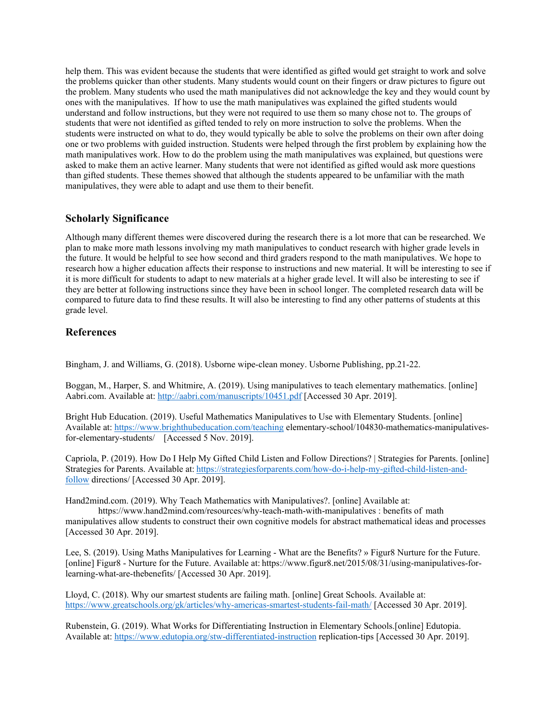help them. This was evident because the students that were identified as gifted would get straight to work and solve the problems quicker than other students. Many students would count on their fingers or draw pictures to figure out the problem. Many students who used the math manipulatives did not acknowledge the key and they would count by ones with the manipulatives. If how to use the math manipulatives was explained the gifted students would understand and follow instructions, but they were not required to use them so many chose not to. The groups of students that were not identified as gifted tended to rely on more instruction to solve the problems. When the students were instructed on what to do, they would typically be able to solve the problems on their own after doing one or two problems with guided instruction. Students were helped through the first problem by explaining how the math manipulatives work. How to do the problem using the math manipulatives was explained, but questions were asked to make them an active learner. Many students that were not identified as gifted would ask more questions than gifted students. These themes showed that although the students appeared to be unfamiliar with the math manipulatives, they were able to adapt and use them to their benefit.

## **Scholarly Significance**

Although many different themes were discovered during the research there is a lot more that can be researched. We plan to make more math lessons involving my math manipulatives to conduct research with higher grade levels in the future. It would be helpful to see how second and third graders respond to the math manipulatives. We hope to research how a higher education affects their response to instructions and new material. It will be interesting to see if it is more difficult for students to adapt to new materials at a higher grade level. It will also be interesting to see if they are better at following instructions since they have been in school longer. The completed research data will be compared to future data to find these results. It will also be interesting to find any other patterns of students at this grade level.

## **References**

Bingham, J. and Williams, G. (2018). Usborne wipe-clean money. Usborne Publishing, pp.21-22.

Boggan, M., Harper, S. and Whitmire, A. (2019). Using manipulatives to teach elementary mathematics. [online] Aabri.com. Available at:<http://aabri.com/manuscripts/10451.pdf> [Accessed 30 Apr. 2019].

Bright Hub Education. (2019). Useful Mathematics Manipulatives to Use with Elementary Students. [online] Available at:<https://www.brighthubeducation.com/teaching> elementary-school/104830-mathematics-manipulativesfor-elementary-students/ [Accessed 5 Nov. 2019].

Capriola, P. (2019). How Do I Help My Gifted Child Listen and Follow Directions? | Strategies for Parents. [online] Strategies for Parents. Available at: [https://strategiesforparents.com/how-do-i-help-my-gifted-child-listen-and](https://strategiesforparents.com/how-do-i-help-my-gifted-child-listen-and-follow)[follow](https://strategiesforparents.com/how-do-i-help-my-gifted-child-listen-and-follow) directions/ [Accessed 30 Apr. 2019].

Hand2mind.com. (2019). Why Teach Mathematics with Manipulatives?. [online] Available at:

https://www.hand2mind.com/resources/why-teach-math-with-manipulatives : benefits of math manipulatives allow students to construct their own cognitive models for abstract mathematical ideas and processes [Accessed 30 Apr. 2019].

Lee, S. (2019). Using Maths Manipulatives for Learning - What are the Benefits? » Figur8 Nurture for the Future. [online] Figur8 - Nurture for the Future. Available at: https://www.figur8.net/2015/08/31/using-manipulatives-forlearning-what-are-thebenefits/ [Accessed 30 Apr. 2019].

Lloyd, C. (2018). Why our smartest students are failing math. [online] Great Schools. Available at: <https://www.greatschools.org/gk/articles/why-americas-smartest-students-fail-math/> [Accessed 30 Apr. 2019].

Rubenstein, G. (2019). What Works for Differentiating Instruction in Elementary Schools.[online] Edutopia. Available at:<https://www.edutopia.org/stw-differentiated-instruction> replication-tips [Accessed 30 Apr. 2019].